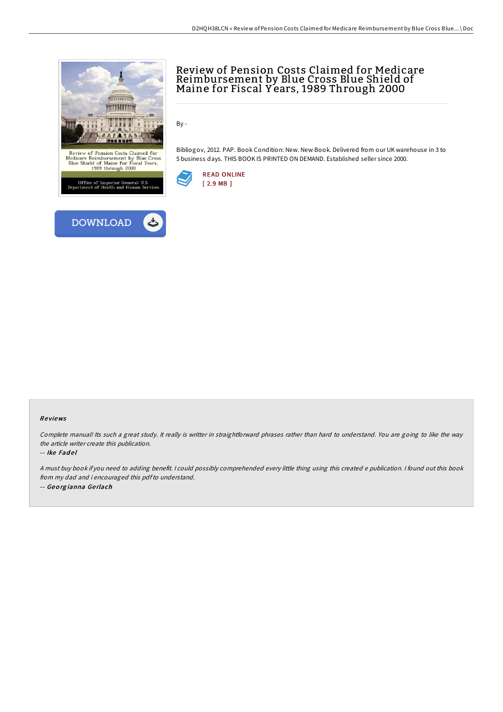

# Review of Pension Costs Claimed for Medicare Reimbursement by Blue Cross Blue Shield of Maine for Fiscal Y ears, 1989 Through 2000

By -

Bibliogov, 2012. PAP. Book Condition: New. New Book. Delivered from our UK warehouse in 3 to 5 business days. THIS BOOK IS PRINTED ON DEMAND. Established seller since 2000.



## Re views

Complete manual! Its such <sup>a</sup> great study. It really is writter in straightforward phrases rather than hard to understand. You are going to like the way the article writer create this publication.

#### -- Ike Fadel

<sup>A</sup> must buy book if you need to adding benefit. <sup>I</sup> could possibly comprehended every little thing using this created <sup>e</sup> publication. <sup>I</sup> found out this book from my dad and i encouraged this pdfto understand. -- Geo rg ianna Ge rlach